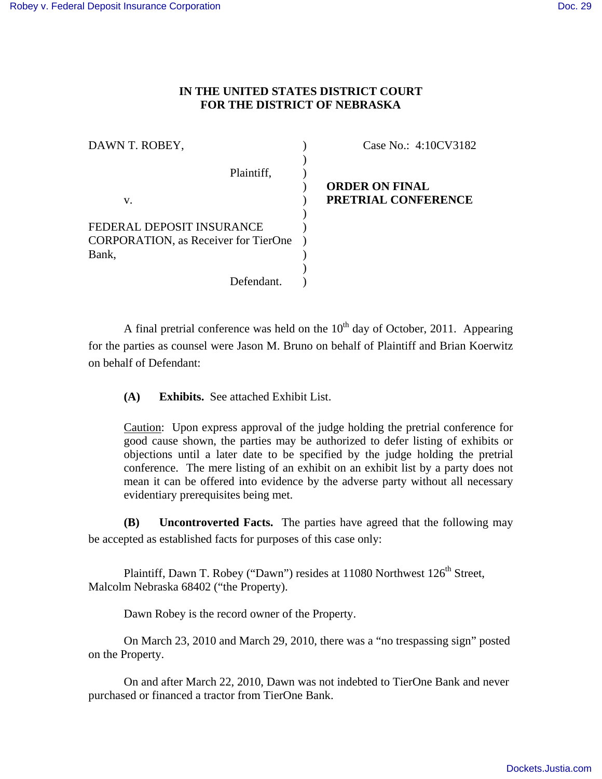## **IN THE UNITED STATES DISTRICT COURT FOR THE DISTRICT OF NEBRASKA**

| Case No.: 4:10CV3182  |
|-----------------------|
|                       |
|                       |
| <b>ORDER ON FINAL</b> |
| PRETRIAL CONFERENCE   |
|                       |
|                       |
|                       |
|                       |
|                       |
|                       |
|                       |

A final pretrial conference was held on the  $10<sup>th</sup>$  day of October, 2011. Appearing for the parties as counsel were Jason M. Bruno on behalf of Plaintiff and Brian Koerwitz on behalf of Defendant:

**(A) Exhibits.** See attached Exhibit List.

Caution: Upon express approval of the judge holding the pretrial conference for good cause shown, the parties may be authorized to defer listing of exhibits or objections until a later date to be specified by the judge holding the pretrial conference. The mere listing of an exhibit on an exhibit list by a party does not mean it can be offered into evidence by the adverse party without all necessary evidentiary prerequisites being met.

 **(B) Uncontroverted Facts.** The parties have agreed that the following may be accepted as established facts for purposes of this case only:

Plaintiff, Dawn T. Robey ("Dawn") resides at 11080 Northwest 126<sup>th</sup> Street, Malcolm Nebraska 68402 ("the Property).

Dawn Robey is the record owner of the Property.

On March 23, 2010 and March 29, 2010, there was a "no trespassing sign" posted on the Property.

On and after March 22, 2010, Dawn was not indebted to TierOne Bank and never purchased or financed a tractor from TierOne Bank.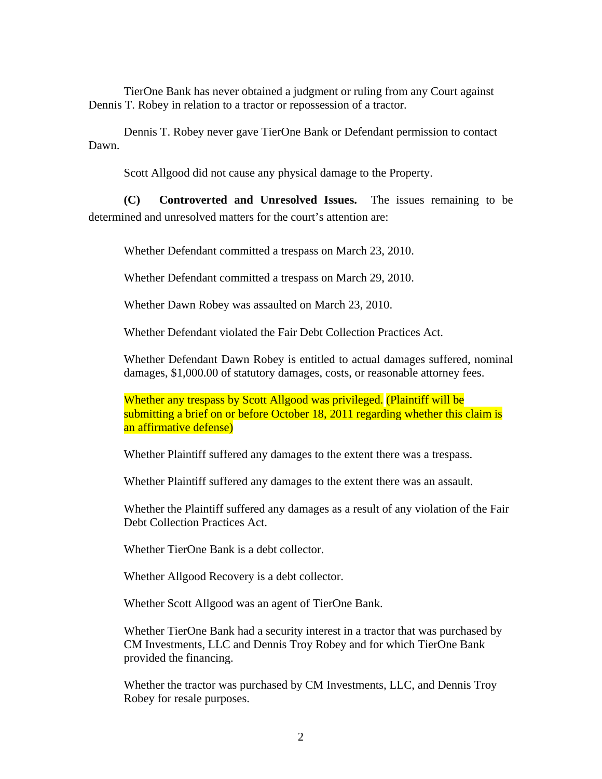TierOne Bank has never obtained a judgment or ruling from any Court against Dennis T. Robey in relation to a tractor or repossession of a tractor.

Dennis T. Robey never gave TierOne Bank or Defendant permission to contact Dawn.

Scott Allgood did not cause any physical damage to the Property.

**(C) Controverted and Unresolved Issues.** The issues remaining to be determined and unresolved matters for the court's attention are:

Whether Defendant committed a trespass on March 23, 2010.

Whether Defendant committed a trespass on March 29, 2010.

Whether Dawn Robey was assaulted on March 23, 2010.

Whether Defendant violated the Fair Debt Collection Practices Act.

Whether Defendant Dawn Robey is entitled to actual damages suffered, nominal damages, \$1,000.00 of statutory damages, costs, or reasonable attorney fees.

Whether any trespass by Scott Allgood was privileged. (Plaintiff will be submitting a brief on or before October 18, 2011 regarding whether this claim is an affirmative defense)

Whether Plaintiff suffered any damages to the extent there was a trespass.

Whether Plaintiff suffered any damages to the extent there was an assault.

Whether the Plaintiff suffered any damages as a result of any violation of the Fair Debt Collection Practices Act.

Whether TierOne Bank is a debt collector.

Whether Allgood Recovery is a debt collector.

Whether Scott Allgood was an agent of TierOne Bank.

Whether TierOne Bank had a security interest in a tractor that was purchased by CM Investments, LLC and Dennis Troy Robey and for which TierOne Bank provided the financing.

Whether the tractor was purchased by CM Investments, LLC, and Dennis Troy Robey for resale purposes.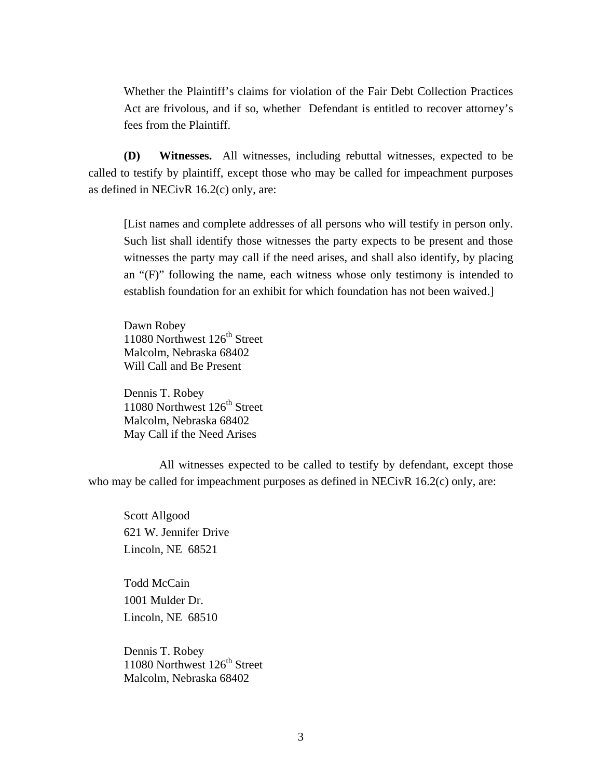Whether the Plaintiff's claims for violation of the Fair Debt Collection Practices Act are frivolous, and if so, whether Defendant is entitled to recover attorney's fees from the Plaintiff.

**(D) Witnesses.** All witnesses, including rebuttal witnesses, expected to be called to testify by plaintiff, except those who may be called for impeachment purposes as defined in NECivR 16.2(c) only, are:

[List names and complete addresses of all persons who will testify in person only. Such list shall identify those witnesses the party expects to be present and those witnesses the party may call if the need arises, and shall also identify, by placing an "(F)" following the name, each witness whose only testimony is intended to establish foundation for an exhibit for which foundation has not been waived.]

Dawn Robey 11080 Northwest 126<sup>th</sup> Street Malcolm, Nebraska 68402 Will Call and Be Present

Dennis T. Robey 11080 Northwest 126<sup>th</sup> Street Malcolm, Nebraska 68402 May Call if the Need Arises

 All witnesses expected to be called to testify by defendant, except those who may be called for impeachment purposes as defined in NECivR 16.2(c) only, are:

 Scott Allgood 621 W. Jennifer Drive Lincoln, NE 68521

 Todd McCain 1001 Mulder Dr. Lincoln, NE 68510

 Dennis T. Robey 11080 Northwest  $126<sup>th</sup>$  Street Malcolm, Nebraska 68402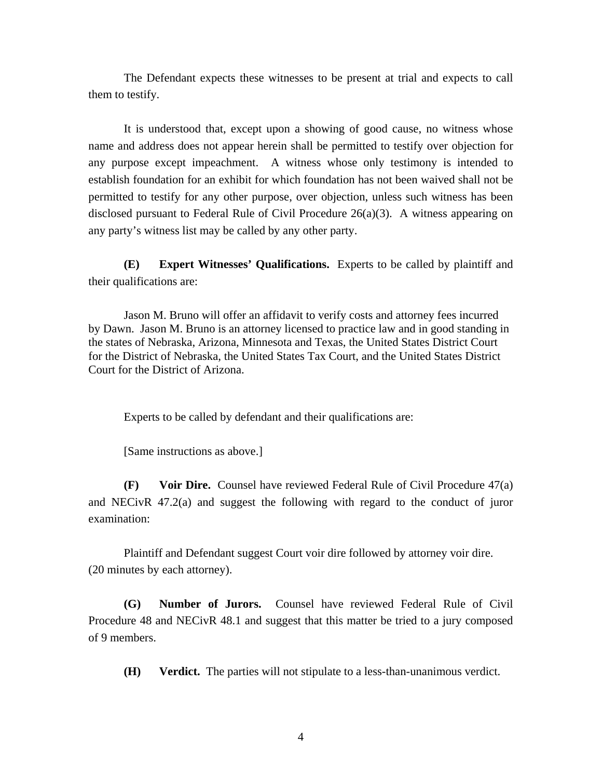The Defendant expects these witnesses to be present at trial and expects to call them to testify.

 It is understood that, except upon a showing of good cause, no witness whose name and address does not appear herein shall be permitted to testify over objection for any purpose except impeachment. A witness whose only testimony is intended to establish foundation for an exhibit for which foundation has not been waived shall not be permitted to testify for any other purpose, over objection, unless such witness has been disclosed pursuant to Federal Rule of Civil Procedure 26(a)(3). A witness appearing on any party's witness list may be called by any other party.

**(E) Expert Witnesses' Qualifications.** Experts to be called by plaintiff and their qualifications are:

Jason M. Bruno will offer an affidavit to verify costs and attorney fees incurred by Dawn. Jason M. Bruno is an attorney licensed to practice law and in good standing in the states of Nebraska, Arizona, Minnesota and Texas, the United States District Court for the District of Nebraska, the United States Tax Court, and the United States District Court for the District of Arizona.

Experts to be called by defendant and their qualifications are:

[Same instructions as above.]

**(F) Voir Dire.** Counsel have reviewed Federal Rule of Civil Procedure 47(a) and NECivR 47.2(a) and suggest the following with regard to the conduct of juror examination:

 Plaintiff and Defendant suggest Court voir dire followed by attorney voir dire. (20 minutes by each attorney).

**(G) Number of Jurors.** Counsel have reviewed Federal Rule of Civil Procedure 48 and NECivR 48.1 and suggest that this matter be tried to a jury composed of 9 members.

**(H) Verdict.** The parties will not stipulate to a less-than-unanimous verdict.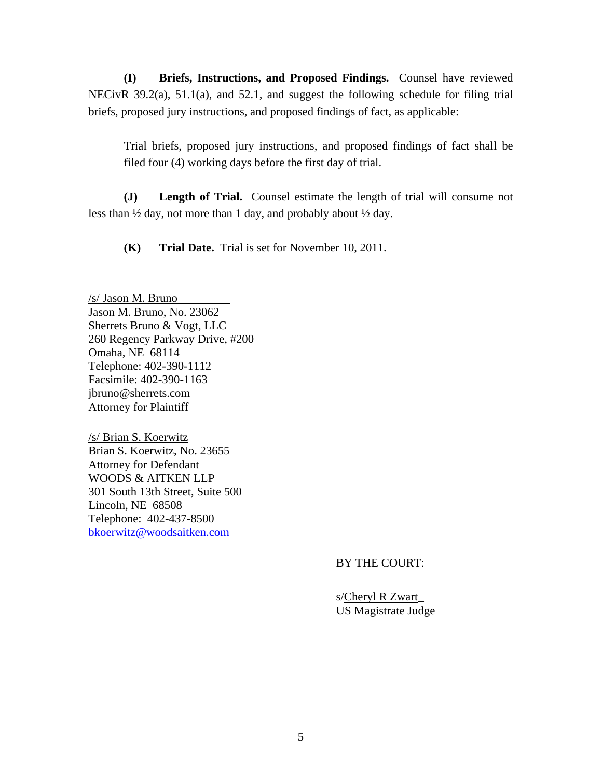**(I) Briefs, Instructions, and Proposed Findings.** Counsel have reviewed NECivR 39.2(a), 51.1(a), and 52.1, and suggest the following schedule for filing trial briefs, proposed jury instructions, and proposed findings of fact, as applicable:

Trial briefs, proposed jury instructions, and proposed findings of fact shall be filed four (4) working days before the first day of trial.

**(J) Length of Trial.** Counsel estimate the length of trial will consume not less than ½ day, not more than 1 day, and probably about ½ day.

**(K) Trial Date.** Trial is set for November 10, 2011.

/s/ Jason M. Bruno Jason M. Bruno, No. 23062 Sherrets Bruno & Vogt, LLC 260 Regency Parkway Drive, #200 Omaha, NE 68114 Telephone: 402-390-1112 Facsimile: 402-390-1163 jbruno@sherrets.com Attorney for Plaintiff

/s/ Brian S. Koerwitz Brian S. Koerwitz, No. 23655 Attorney for Defendant WOODS & AITKEN LLP 301 South 13th Street, Suite 500 Lincoln, NE 68508 Telephone: 402-437-8500 bkoerwitz@woodsaitken.com

BY THE COURT:

 s/Cheryl R Zwart\_ US Magistrate Judge